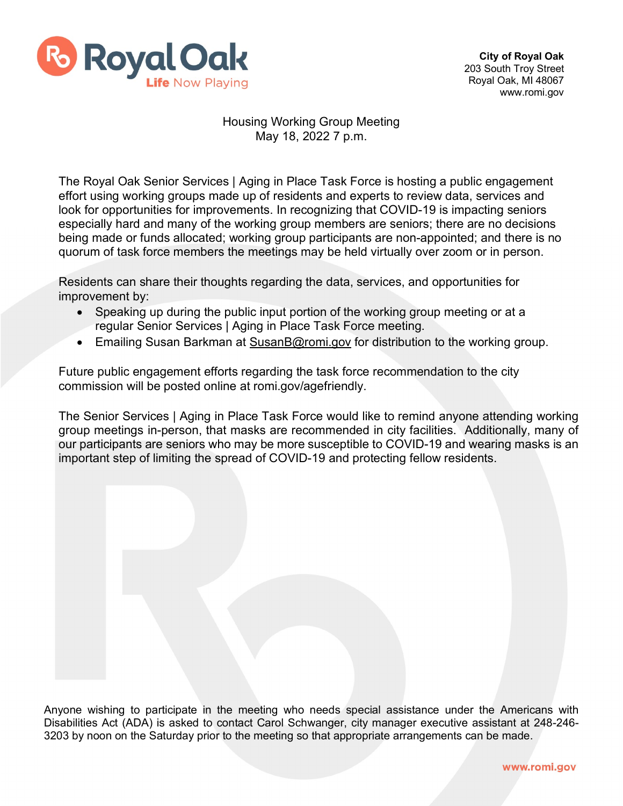

## Housing Working Group Meeting May 18, 2022 7 p.m.

The Royal Oak Senior Services | Aging in Place Task Force is hosting a public engagement effort using working groups made up of residents and experts to review data, services and look for opportunities for improvements. In recognizing that COVID-19 is impacting seniors especially hard and many of the working group members are seniors; there are no decisions being made or funds allocated; working group participants are non-appointed; and there is no quorum of task force members the meetings may be held virtually over zoom or in person.

Residents can share their thoughts regarding the data, services, and opportunities for improvement by:

- Speaking up during the public input portion of the working group meeting or at a regular Senior Services | Aging in Place Task Force meeting.
- Emailing Susan Barkman at [SusanB@romi.gov](mailto:SusanB@romi.gov) for distribution to the working group.

Future public engagement efforts regarding the task force recommendation to the city commission will be posted online at romi.gov/agefriendly.

The Senior Services | Aging in Place Task Force would like to remind anyone attending working group meetings in-person, that masks are recommended in city facilities. Additionally, many of our participants are seniors who may be more susceptible to COVID-19 and wearing masks is an important step of limiting the spread of COVID-19 and protecting fellow residents.

Anyone wishing to participate in the meeting who needs special assistance under the Americans with Disabilities Act (ADA) is asked to contact Carol Schwanger, city manager executive assistant at 248-246- 3203 by noon on the Saturday prior to the meeting so that appropriate arrangements can be made.